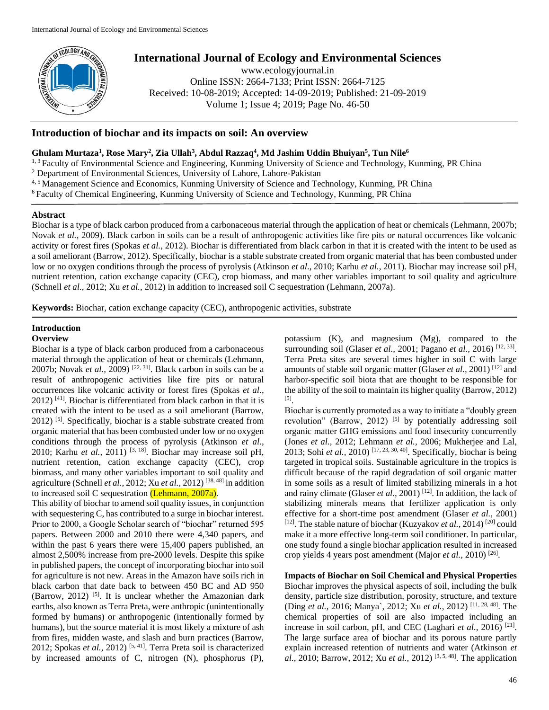

# **International Journal of Ecology and Environmental Sciences**

www.ecologyjournal.in Online ISSN: 2664-7133; Print ISSN: 2664-7125 Received: 10-08-2019; Accepted: 14-09-2019; Published: 21-09-2019 Volume 1; Issue 4; 2019; Page No. 46-50

# **Introduction of biochar and its impacts on soil: An overview**

# **Ghulam Murtaza<sup>1</sup> , Rose Mary<sup>2</sup> , Zia Ullah<sup>3</sup> , Abdul Razzaq<sup>4</sup> , Md Jashim Uddin Bhuiyan<sup>5</sup> , Tun Nile<sup>6</sup>**

<sup>1, 3</sup> Faculty of Environmental Science and Engineering, Kunming University of Science and Technology, Kunming, PR China

<sup>2</sup> Department of Environmental Sciences, University of Lahore, Lahore-Pakistan

4, 5 Management Science and Economics, Kunming University of Science and Technology, Kunming, PR China

<sup>6</sup> Faculty of Chemical Engineering, Kunming University of Science and Technology, Kunming, PR China

# **Abstract**

Biochar is a type of black carbon produced from a carbonaceous material through the application of heat or chemicals (Lehmann, 2007b; Novak *et al.,* 2009). Black carbon in soils can be a result of anthropogenic activities like fire pits or natural occurrences like volcanic activity or forest fires (Spokas *et al.*, 2012). Biochar is differentiated from black carbon in that it is created with the intent to be used as a soil ameliorant (Barrow, 2012). Specifically, biochar is a stable substrate created from organic material that has been combusted under low or no oxygen conditions through the process of pyrolysis (Atkinson *et al*., 2010; Karhu *et al.,* 2011). Biochar may increase soil pH, nutrient retention, cation exchange capacity (CEC), crop biomass, and many other variables important to soil quality and agriculture (Schnell *et al.*, 2012; Xu *et al.,* 2012) in addition to increased soil C sequestration (Lehmann, 2007a).

**Keywords:** Biochar, cation exchange capacity (CEC), anthropogenic activities, substrate

# **Introduction**

## **Overview**

Biochar is a type of black carbon produced from a carbonaceous material through the application of heat or chemicals (Lehmann, 2007b; Novak *et al.,* 2009) [22, 31] . Black carbon in soils can be a result of anthropogenic activities like fire pits or natural occurrences like volcanic activity or forest fires (Spokas *et al.*, 2012) [41] . Biochar is differentiated from black carbon in that it is created with the intent to be used as a soil ameliorant (Barrow, 2012)<sup>[5]</sup>. Specifically, biochar is a stable substrate created from organic material that has been combusted under low or no oxygen conditions through the process of pyrolysis (Atkinson *et al*., 2010; Karhu *et al.,* 2011) [3, 18] . Biochar may increase soil pH, nutrient retention, cation exchange capacity (CEC), crop biomass, and many other variables important to soil quality and agriculture (Schnell *et al.*, 2012; Xu *et al.,* 2012) [38, 48] in addition to increased soil C sequestration (Lehmann, 2007a).

This ability of biochar to amend soil quality issues, in conjunction with sequestering C, has contributed to a surge in biochar interest. Prior to 2000, a Google Scholar search of "biochar" returned 595 papers. Between 2000 and 2010 there were 4,340 papers, and within the past 6 years there were 15,400 papers published, an almost 2,500% increase from pre-2000 levels. Despite this spike in published papers, the concept of incorporating biochar into soil for agriculture is not new. Areas in the Amazon have soils rich in black carbon that date back to between 450 BC and AD 950 (Barrow, 2012)<sup>[5]</sup>. It is unclear whether the Amazonian dark earths, also known as Terra Preta, were anthropic (unintentionally formed by humans) or anthropogenic (intentionally formed by humans), but the source material it is most likely a mixture of ash from fires, midden waste, and slash and burn practices (Barrow, 2012; Spokas *et al.*, 2012)<sup>[5, 41]</sup>. Terra Preta soil is characterized by increased amounts of C, nitrogen (N), phosphorus (P),

potassium (K), and magnesium (Mg), compared to the surrounding soil (Glaser *et al.*, 2001; Pagano *et al.*, 2016)<sup>[12, 33]</sup>. Terra Preta sites are several times higher in soil C with large amounts of stable soil organic matter (Glaser *et al.*, 2001)<sup>[12]</sup> and harbor-specific soil biota that are thought to be responsible for the ability of the soil to maintain its higher quality (Barrow, 2012) [5] .

Biochar is currently promoted as a way to initiate a "doubly green revolution" (Barrow, 2012) <sup>[5]</sup> by potentially addressing soil organic matter GHG emissions and food insecurity concurrently (Jones *et al.,* 2012; Lehmann *et al.,* 2006; Mukherjee and Lal, 2013; Sohi *et al.,* 2010) [17, 23, 30, 40] . Specifically, biochar is being targeted in tropical soils. Sustainable agriculture in the tropics is difficult because of the rapid degradation of soil organic matter in some soils as a result of limited stabilizing minerals in a hot and rainy climate (Glaser et al., 2001)<sup>[12]</sup>. In addition, the lack of stabilizing minerals means that fertilizer application is only effective for a short-time post amendment (Glaser *et al.,* 2001) [12]. The stable nature of biochar (Kuzyakov *et al.*, 2014)<sup>[20]</sup> could make it a more effective long-term soil conditioner. In particular, one study found a single biochar application resulted in increased crop yields 4 years post amendment (Major et al., 2010)<sup>[26]</sup>.

**Impacts of Biochar on Soil Chemical and Physical Properties** Biochar improves the physical aspects of soil, including the bulk density, particle size distribution, porosity, structure, and texture (Ding *et al.,* 2016; Manya`, 2012; Xu *et al.,* 2012) [11, 28, 48] . The chemical properties of soil are also impacted including an increase in soil carbon, pH, and CEC (Laghari *et al.,* 2016) [21] . The large surface area of biochar and its porous nature partly explain increased retention of nutrients and water (Atkinson *et al.,* 2010; Barrow, 2012; Xu *et al.,* 2012) [3, 5, 48] . The application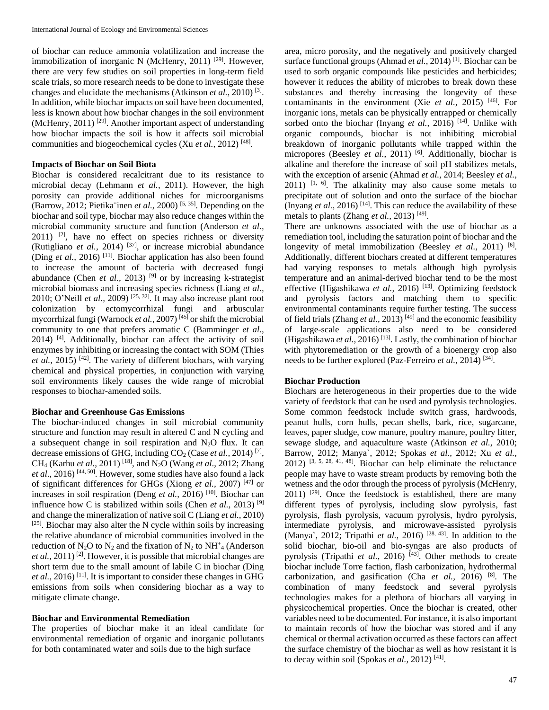of biochar can reduce ammonia volatilization and increase the immobilization of inorganic N (McHenry, 2011)<sup>[29]</sup>. However, there are very few studies on soil properties in long-term field scale trials, so more research needs to be done to investigate these changes and elucidate the mechanisms (Atkinson *et al.,* 2010) [3] . In addition, while biochar impacts on soil have been documented, less is known about how biochar changes in the soil environment (McHenry, 2011)<sup>[29]</sup>. Another important aspect of understanding how biochar impacts the soil is how it affects soil microbial communities and biogeochemical cycles (Xu *et al.*, 2012)<sup>[48]</sup>.

## **Impacts of Biochar on Soil Biota**

Biochar is considered recalcitrant due to its resistance to microbial decay (Lehmann *et al.,* 2011). However, the high porosity can provide additional niches for microorganisms (Barrow, 2012; Pietika¨inen *et al.,* 2000) [5, 35] . Depending on the biochar and soil type, biochar may also reduce changes within the microbial community structure and function (Anderson *et al.,*   $2011$ ) <sup>[2]</sup>, have no effect on species richness or diversity (Rutigliano *et al.,* 2014) [37] , or increase microbial abundance (Ding *et al.*, 2016)<sup>[11]</sup>. Biochar application has also been found to increase the amount of bacteria with decreased fungi abundance (Chen *et al.*, 2013)<sup>[9]</sup> or by increasing k-strategist microbial biomass and increasing species richness (Liang *et al.,* 2010; O'Neill *et al.*, 2009)<sup>[25, 32]</sup>. It may also increase plant root colonization by ectomycorrhizal fungi and arbuscular mycorrhizal fungi (Warnock *et al.,* 2007) [45] or shift the microbial community to one that prefers aromatic C (Bamminger *et al.,* 2014) [4] . Additionally, biochar can affect the activity of soil enzymes by inhibiting or increasing the contact with SOM (Thies et al., 2015)<sup>[42]</sup>. The variety of different biochars, with varying chemical and physical properties, in conjunction with varying soil environments likely causes the wide range of microbial responses to biochar-amended soils.

#### **Biochar and Greenhouse Gas Emissions**

The biochar-induced changes in soil microbial community structure and function may result in altered C and N cycling and a subsequent change in soil respiration and  $N_2O$  flux. It can decrease emissions of GHG, including CO<sub>2</sub> (Case *et al.*, 2014)<sup>[7]</sup>, CH<sup>4</sup> (Karhu *et al.,* 2011) [18] , and N2O (Wang *et al*., 2012; Zhang et al., 2016)<sup>[44, 50]</sup>. However, some studies have also found a lack of significant differences for GHGs (Xiong *et al.,* 2007) [47] or increases in soil respiration (Deng *et al.*, 2016)<sup>[10]</sup>. Biochar can influence how C is stabilized within soils (Chen *et al.,* 2013) [9] and change the mineralization of native soil C (Liang *et al.,* 2010)  $[25]$ . Biochar may also alter the N cycle within soils by increasing the relative abundance of microbial communities involved in the reduction of  $N_2O$  to  $N_2$  and the fixation of  $N_2$  to  $NH^+$ <sub>4</sub> (Anderson et al., 2011)<sup>[2]</sup>. However, it is possible that microbial changes are short term due to the small amount of labile C in biochar (Ding *et al.*, 2016)<sup>[11]</sup>. It is important to consider these changes in GHG emissions from soils when considering biochar as a way to mitigate climate change.

#### **Biochar and Environmental Remediation**

The properties of biochar make it an ideal candidate for environmental remediation of organic and inorganic pollutants for both contaminated water and soils due to the high surface

area, micro porosity, and the negatively and positively charged surface functional groups (Ahmad *et al.*, 2014)<sup>[1]</sup>. Biochar can be used to sorb organic compounds like pesticides and herbicides; however it reduces the ability of microbes to break down these substances and thereby increasing the longevity of these contaminants in the environment (Xie *et al.,* 2015) [46] . For inorganic ions, metals can be physically entrapped or chemically sorbed onto the biochar (Inyang *et al.*, 2016)<sup>[14]</sup>. Unlike with organic compounds, biochar is not inhibiting microbial breakdown of inorganic pollutants while trapped within the micropores (Beesley *et al.*, 2011)<sup>[6]</sup>. Additionally, biochar is alkaline and therefore the increase of soil pH stabilizes metals, with the exception of arsenic (Ahmad *et al.,* 2014; Beesley *et al.,*  $2011$ ) <sup>[1, 6]</sup>. The alkalinity may also cause some metals to precipitate out of solution and onto the surface of the biochar (Inyang *et al.*, 2016)<sup>[14]</sup>. This can reduce the availability of these metals to plants (Zhang *et al.,* 2013) [49] .

There are unknowns associated with the use of biochar as a remediation tool, including the saturation point of biochar and the longevity of metal immobilization (Beesley *et al.*, 2011) <sup>[6]</sup>. Additionally, different biochars created at different temperatures had varying responses to metals although high pyrolysis temperature and an animal-derived biochar tend to be the most effective (Higashikawa et al., 2016)<sup>[13]</sup>. Optimizing feedstock and pyrolysis factors and matching them to specific environmental contaminants require further testing. The success of field trials (Zhang *et al.*, 2013)<sup>[49]</sup> and the economic feasibility of large-scale applications also need to be considered (Higashikawa et al., 2016)<sup>[13]</sup>. Lastly, the combination of biochar with phytoremediation or the growth of a bioenergy crop also needs to be further explored (Paz-Ferreiro *et al.*, 2014)<sup>[34]</sup>.

#### **Biochar Production**

Biochars are heterogeneous in their properties due to the wide variety of feedstock that can be used and pyrolysis technologies. Some common feedstock include switch grass, hardwoods, peanut hulls, corn hulls, pecan shells, bark, rice, sugarcane, leaves, paper sludge, cow manure, poultry manure, poultry litter, sewage sludge, and aquaculture waste (Atkinson *et al.,* 2010; Barrow, 2012; Manya`, 2012; Spokas *et al.,* 2012; Xu *et al.,*  $2012$ ) [3, 5, 28, 41, 48]. Biochar can help eliminate the reluctance people may have to waste stream products by removing both the wetness and the odor through the process of pyrolysis (McHenry,  $2011$ ) <sup>[29]</sup>. Once the feedstock is established, there are many different types of pyrolysis, including slow pyrolysis, fast pyrolysis, flash pyrolysis, vacuum pyrolysis, hydro pyrolysis, intermediate pyrolysis, and microwave-assisted pyrolysis (Manya`, 2012; Tripathi et al., 2016)<sup>[28, 43]</sup>. In addition to the solid biochar, bio-oil and bio-syngas are also products of pyrolysis (Tripathi et al., 2016)<sup>[43]</sup>. Other methods to create biochar include Torre faction, flash carbonization, hydrothermal carbonization, and gasification (Cha *et al.,* 2016) [8] . The combination of many feedstock and several pyrolysis technologies makes for a plethora of biochars all varying in physicochemical properties. Once the biochar is created, other variables need to be documented. For instance, it is also important to maintain records of how the biochar was stored and if any chemical or thermal activation occurred as these factors can affect the surface chemistry of the biochar as well as how resistant it is to decay within soil (Spokas et al., 2012)<sup>[41]</sup>.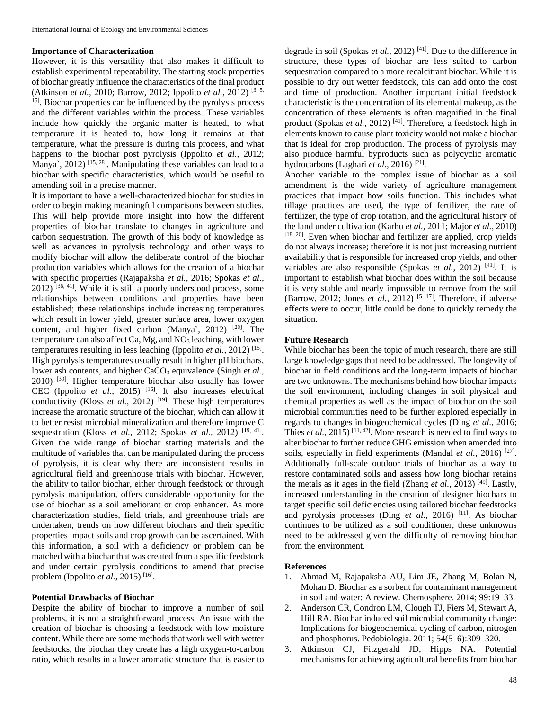## **Importance of Characterization**

However, it is this versatility that also makes it difficult to establish experimental repeatability. The starting stock properties of biochar greatly influence the characteristics of the final product (Atkinson *et al.,* 2010; Barrow, 2012; Ippolito *et al.,* 2012) [3, 5, 15] . Biochar properties can be influenced by the pyrolysis process and the different variables within the process. These variables include how quickly the organic matter is heated, to what temperature it is heated to, how long it remains at that temperature, what the pressure is during this process, and what happens to the biochar post pyrolysis (Ippolito *et al.,* 2012; Manya`, 2012)<sup>[15, 28]</sup>. Manipulating these variables can lead to a biochar with specific characteristics, which would be useful to amending soil in a precise manner.

It is important to have a well-characterized biochar for studies in order to begin making meaningful comparisons between studies. This will help provide more insight into how the different properties of biochar translate to changes in agriculture and carbon sequestration. The growth of this body of knowledge as well as advances in pyrolysis technology and other ways to modify biochar will allow the deliberate control of the biochar production variables which allows for the creation of a biochar with specific properties (Rajapaksha *et al.,* 2016; Spokas *et al.,*   $2012$ )  $[36, 41]$ . While it is still a poorly understood process, some relationships between conditions and properties have been established; these relationships include increasing temperatures which result in lower yield, greater surface area, lower oxygen content, and higher fixed carbon (Manya', 2012)  $[28]$ . The temperature can also affect Ca, Mg, and  $NO<sub>3</sub>$  leaching, with lower temperatures resulting in less leaching (Ippolito *et al.,* 2012) [15] . High pyrolysis temperatures usually result in higher pH biochars, lower ash contents, and higher CaCO<sub>3</sub> equivalence (Singh *et al.*, 2010)<sup>[39]</sup>. Higher temperature biochar also usually has lower CEC (Ippolito *et al.*, 2015)<sup>[16]</sup>. It also increases electrical conductivity (Kloss *et al.*, 2012)<sup>[19]</sup>. These high temperatures increase the aromatic structure of the biochar, which can allow it to better resist microbial mineralization and therefore improve C sequestration (Kloss *et al.*, 2012; Spokas *et al.*, 2012)<sup>[19, 41]</sup>. Given the wide range of biochar starting materials and the multitude of variables that can be manipulated during the process of pyrolysis, it is clear why there are inconsistent results in agricultural field and greenhouse trials with biochar. However, the ability to tailor biochar, either through feedstock or through pyrolysis manipulation, offers considerable opportunity for the use of biochar as a soil ameliorant or crop enhancer. As more characterization studies, field trials, and greenhouse trials are undertaken, trends on how different biochars and their specific properties impact soils and crop growth can be ascertained. With this information, a soil with a deficiency or problem can be matched with a biochar that was created from a specific feedstock and under certain pyrolysis conditions to amend that precise problem (Ippolito *et al.*, 2015)<sup>[16]</sup>.

# **Potential Drawbacks of Biochar**

Despite the ability of biochar to improve a number of soil problems, it is not a straightforward process. An issue with the creation of biochar is choosing a feedstock with low moisture content. While there are some methods that work well with wetter feedstocks, the biochar they create has a high oxygen-to-carbon ratio, which results in a lower aromatic structure that is easier to

degrade in soil (Spokas *et al.*, 2012)<sup>[41]</sup>. Due to the difference in structure, these types of biochar are less suited to carbon sequestration compared to a more recalcitrant biochar. While it is possible to dry out wetter feedstock, this can add onto the cost and time of production. Another important initial feedstock characteristic is the concentration of its elemental makeup, as the concentration of these elements is often magnified in the final product (Spokas et al., 2012)<sup>[41]</sup>. Therefore, a feedstock high in elements known to cause plant toxicity would not make a biochar that is ideal for crop production. The process of pyrolysis may also produce harmful byproducts such as polycyclic aromatic hydrocarbons (Laghari et al., 2016)<sup>[21]</sup>.

Another variable to the complex issue of biochar as a soil amendment is the wide variety of agriculture management practices that impact how soils function. This includes what tillage practices are used, the type of fertilizer, the rate of fertilizer, the type of crop rotation, and the agricultural history of the land under cultivation (Karhu *et al.,* 2011; Major *et al.,* 2010)  $[18, 26]$ . Even when biochar and fertilizer are applied, crop yields do not always increase; therefore it is not just increasing nutrient availability that is responsible for increased crop yields, and other variables are also responsible (Spokas *et al.*, 2012)<sup>[41]</sup>. It is important to establish what biochar does within the soil because it is very stable and nearly impossible to remove from the soil (Barrow, 2012; Jones *et al.*, 2012)<sup>[5, 17]</sup>. Therefore, if adverse effects were to occur, little could be done to quickly remedy the situation.

### **Future Research**

While biochar has been the topic of much research, there are still large knowledge gaps that need to be addressed. The longevity of biochar in field conditions and the long-term impacts of biochar are two unknowns. The mechanisms behind how biochar impacts the soil environment, including changes in soil physical and chemical properties as well as the impact of biochar on the soil microbial communities need to be further explored especially in regards to changes in biogeochemical cycles (Ding *et al.,* 2016; Thies *et al.*, 2015)<sup>[11, 42]</sup>. More research is needed to find ways to alter biochar to further reduce GHG emission when amended into soils, especially in field experiments (Mandal *et al.*, 2016)<sup>[27]</sup>. Additionally full-scale outdoor trials of biochar as a way to restore contaminated soils and assess how long biochar retains the metals as it ages in the field (Zhang *et al.*, 2013)<sup>[49]</sup>. Lastly, increased understanding in the creation of designer biochars to target specific soil deficiencies using tailored biochar feedstocks and pyrolysis processes (Ding *et al.*, 2016)<sup>[11]</sup>. As biochar continues to be utilized as a soil conditioner, these unknowns need to be addressed given the difficulty of removing biochar from the environment.

# **References**

- 1. Ahmad M, Rajapaksha AU, Lim JE, Zhang M, Bolan N, Mohan D. Biochar as a sorbent for contaminant management in soil and water: A review. Chemosphere. 2014; 99:19–33.
- 2. Anderson CR, Condron LM, Clough TJ, Fiers M, Stewart A, Hill RA. Biochar induced soil microbial community change: Implications for biogeochemical cycling of carbon, nitrogen and phosphorus. Pedobiologia. 2011; 54(5–6):309–320.
- 3. Atkinson CJ, Fitzgerald JD, Hipps NA. Potential mechanisms for achieving agricultural benefits from biochar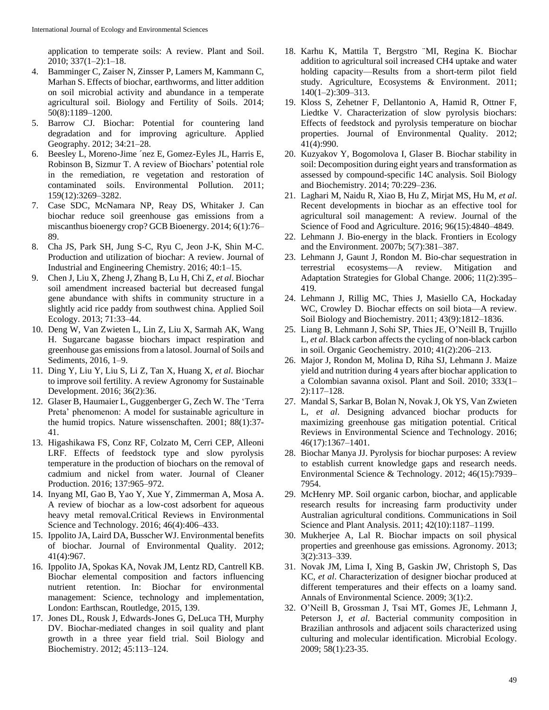application to temperate soils: A review. Plant and Soil. 2010; 337(1–2):1–18.

- 4. Bamminger C, Zaiser N, Zinsser P, Lamers M, Kammann C, Marhan S. Effects of biochar, earthworms, and litter addition on soil microbial activity and abundance in a temperate agricultural soil. Biology and Fertility of Soils. 2014; 50(8):1189–1200.
- 5. Barrow CJ. Biochar: Potential for countering land degradation and for improving agriculture. Applied Geography. 2012; 34:21–28.
- 6. Beesley L, Moreno-Jime ´nez E, Gomez-Eyles JL, Harris E, Robinson B, Sizmur T. A review of Biochars' potential role in the remediation, re vegetation and restoration of contaminated soils. Environmental Pollution. 2011; 159(12):3269–3282.
- 7. Case SDC, McNamara NP, Reay DS, Whitaker J. Can biochar reduce soil greenhouse gas emissions from a miscanthus bioenergy crop? GCB Bioenergy. 2014; 6(1):76– 89.
- 8. Cha JS, Park SH, Jung S-C, Ryu C, Jeon J-K, Shin M-C. Production and utilization of biochar: A review. Journal of Industrial and Engineering Chemistry. 2016; 40:1–15.
- 9. Chen J, Liu X, Zheng J, Zhang B, Lu H, Chi Z, *et al*. Biochar soil amendment increased bacterial but decreased fungal gene abundance with shifts in community structure in a slightly acid rice paddy from southwest china. Applied Soil Ecology. 2013; 71:33–44.
- 10. Deng W, Van Zwieten L, Lin Z, Liu X, Sarmah AK, Wang H. Sugarcane bagasse biochars impact respiration and greenhouse gas emissions from a latosol. Journal of Soils and Sediments, 2016, 1–9.
- 11. Ding Y, Liu Y, Liu S, Li Z, Tan X, Huang X, *et al*. Biochar to improve soil fertility. A review Agronomy for Sustainable Development. 2016; 36(2):36.
- 12. Glaser B, Haumaier L, Guggenberger G, Zech W. The 'Terra Preta' phenomenon: A model for sustainable agriculture in the humid tropics. Nature wissenschaften. 2001; 88(1):37- 41.
- 13. Higashikawa FS, Conz RF, Colzato M, Cerri CEP, Alleoni LRF. Effects of feedstock type and slow pyrolysis temperature in the production of biochars on the removal of cadmium and nickel from water. Journal of Cleaner Production. 2016; 137:965–972.
- 14. Inyang MI, Gao B, Yao Y, Xue Y, Zimmerman A, Mosa A. A review of biochar as a low-cost adsorbent for aqueous heavy metal removal.Critical Reviews in Environmental Science and Technology. 2016; 46(4):406–433.
- 15. Ippolito JA, Laird DA, Busscher WJ. Environmental benefits of biochar. Journal of Environmental Quality. 2012; 41(4):967.
- 16. Ippolito JA, Spokas KA, Novak JM, Lentz RD, Cantrell KB. Biochar elemental composition and factors influencing nutrient retention. In: Biochar for environmental management: Science, technology and implementation, London: Earthscan, Routledge, 2015, 139.
- 17. Jones DL, Rousk J, Edwards-Jones G, DeLuca TH, Murphy DV. Biochar-mediated changes in soil quality and plant growth in a three year field trial. Soil Biology and Biochemistry. 2012; 45:113–124.
- 18. Karhu K, Mattila T, Bergstro ¨MI, Regina K. Biochar addition to agricultural soil increased CH4 uptake and water holding capacity—Results from a short-term pilot field study. Agriculture, Ecosystems & Environment. 2011; 140(1–2):309–313.
- 19. Kloss S, Zehetner F, Dellantonio A, Hamid R, Ottner F, Liedtke V. Characterization of slow pyrolysis biochars: Effects of feedstock and pyrolysis temperature on biochar properties. Journal of Environmental Quality. 2012; 41(4):990.
- 20. Kuzyakov Y, Bogomolova I, Glaser B. Biochar stability in soil: Decomposition during eight years and transformation as assessed by compound-specific 14C analysis. Soil Biology and Biochemistry. 2014; 70:229–236.
- 21. Laghari M, Naidu R, Xiao B, Hu Z, Mirjat MS, Hu M, *et al*. Recent developments in biochar as an effective tool for agricultural soil management: A review. Journal of the Science of Food and Agriculture. 2016; 96(15):4840–4849.
- 22. Lehmann J. Bio-energy in the black. Frontiers in Ecology and the Environment. 2007b; 5(7):381–387.
- 23. Lehmann J, Gaunt J, Rondon M. Bio-char sequestration in terrestrial ecosystems—A review. Mitigation and Adaptation Strategies for Global Change. 2006; 11(2):395– 419.
- 24. Lehmann J, Rillig MC, Thies J, Masiello CA, Hockaday WC, Crowley D. Biochar effects on soil biota—A review. Soil Biology and Biochemistry. 2011; 43(9):1812–1836.
- 25. Liang B, Lehmann J, Sohi SP, Thies JE, O'Neill B, Trujillo L, *et al*. Black carbon affects the cycling of non-black carbon in soil. Organic Geochemistry. 2010; 41(2):206–213.
- 26. Major J, Rondon M, Molina D, Riha SJ, Lehmann J. Maize yield and nutrition during 4 years after biochar application to a Colombian savanna oxisol. Plant and Soil. 2010; 333(1– 2):117–128.
- 27. Mandal S, Sarkar B, Bolan N, Novak J, Ok YS, Van Zwieten L, *et al*. Designing advanced biochar products for maximizing greenhouse gas mitigation potential. Critical Reviews in Environmental Science and Technology. 2016; 46(17):1367–1401.
- 28. Biochar Manya JJ. Pyrolysis for biochar purposes: A review to establish current knowledge gaps and research needs. Environmental Science & Technology. 2012; 46(15):7939– 7954.
- 29. McHenry MP. Soil organic carbon, biochar, and applicable research results for increasing farm productivity under Australian agricultural conditions. Communications in Soil Science and Plant Analysis. 2011; 42(10):1187–1199.
- 30. Mukherjee A, Lal R. Biochar impacts on soil physical properties and greenhouse gas emissions. Agronomy. 2013; 3(2):313–339.
- 31. Novak JM, Lima I, Xing B, Gaskin JW, Christoph S, Das KC, *et al*. Characterization of designer biochar produced at different temperatures and their effects on a loamy sand. Annals of Environmental Science. 2009; 3(1):2.
- 32. O'Neill B, Grossman J, Tsai MT, Gomes JE, Lehmann J, Peterson J, *et al*. Bacterial community composition in Brazilian anthrosols and adjacent soils characterized using culturing and molecular identification. Microbial Ecology. 2009; 58(1):23-35.